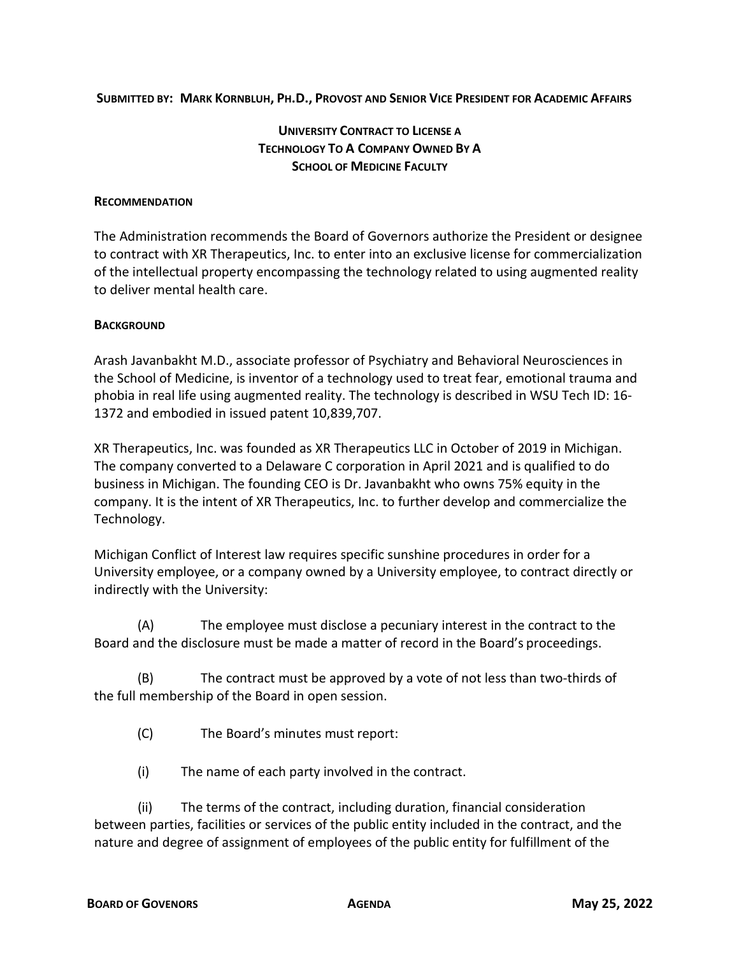**SUBMITTED BY: MARK KORNBLUH, PH.D., PROVOST AND SENIOR VICE PRESIDENT FOR ACADEMIC AFFAIRS**

## **UNIVERSITY CONTRACT TO LICENSE A TECHNOLOGY TO A COMPANY OWNED BY A SCHOOL OF MEDICINE FACULTY**

## **RECOMMENDATION**

The Administration recommends the Board of Governors authorize the President or designee to contract with XR Therapeutics, Inc. to enter into an exclusive license for commercialization of the intellectual property encompassing the technology related to using augmented reality to deliver mental health care.

## **BACKGROUND**

Arash Javanbakht M.D., associate professor of Psychiatry and Behavioral Neurosciences in the School of Medicine, is inventor of a technology used to treat fear, emotional trauma and phobia in real life using augmented reality. The technology is described in WSU Tech ID: 16- 1372 and embodied in issued patent 10,839,707.

XR Therapeutics, Inc. was founded as XR Therapeutics LLC in October of 2019 in Michigan. The company converted to a Delaware C corporation in April 2021 and is qualified to do business in Michigan. The founding CEO is Dr. Javanbakht who owns 75% equity in the company. It is the intent of XR Therapeutics, Inc. to further develop and commercialize the Technology.

Michigan Conflict of Interest law requires specific sunshine procedures in order for a University employee, or a company owned by a University employee, to contract directly or indirectly with the University:

(A) The employee must disclose a pecuniary interest in the contract to the Board and the disclosure must be made a matter of record in the Board's proceedings.

(B) The contract must be approved by a vote of not less than two-thirds of the full membership of the Board in open session.

(C) The Board's minutes must report:

(i) The name of each party involved in the contract.

(ii) The terms of the contract, including duration, financial consideration between parties, facilities or services of the public entity included in the contract, and the nature and degree of assignment of employees of the public entity for fulfillment of the